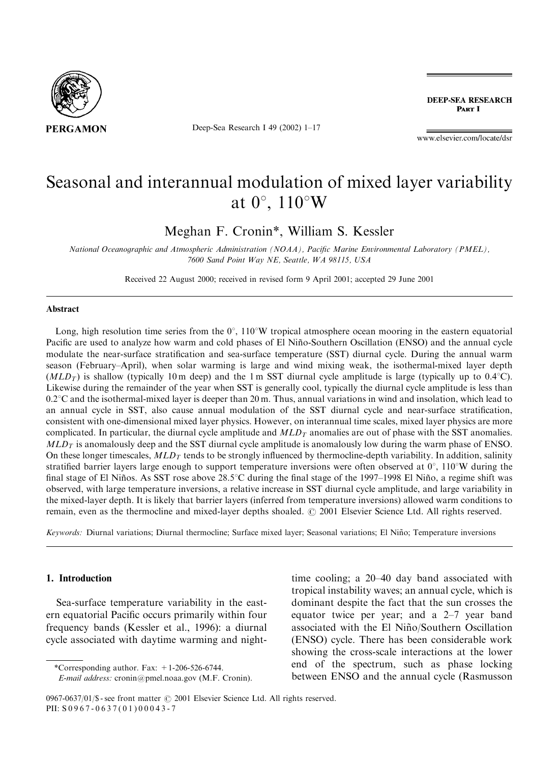

Deep-Sea Research I 49 (2002) 1–17

**DEEP-SEA RESEARCH** PART I

www.elsevier.com/locate/dsr

# Seasonal and interannual modulation of mixed layer variability at  $0^\circ$ , 110°W

Meghan F. Cronin\*, William S. Kessler

National Oceanographic and Atmospheric Administration (NOAA), Pacific Marine Environmental Laboratory (PMEL), 7600 Sand Point Way NE, Seattle, WA 98115, USA

Received 22 August 2000; received in revised form 9 April 2001; accepted 29 June 2001

#### Abstract

Long, high resolution time series from the  $0^{\circ}$ , 110°W tropical atmosphere ocean mooring in the eastern equatorial Pacific are used to analyze how warm and cold phases of El Nino-Southern Oscillation (ENSO) and the annual cycle \* modulate the near-surface stratification and sea-surface temperature (SST) diurnal cycle. During the annual warm season (February–April), when solar warming is large and wind mixing weak, the isothermal-mixed layer depth  $(MLD_T)$  is shallow (typically 10 m deep) and the 1 m SST diurnal cycle amplitude is large (typically up to 0.4°C). Likewise during the remainder of the year when SST is generally cool, typically the diurnal cycle amplitude is less than  $0.2^{\circ}$ C and the isothermal-mixed layer is deeper than 20 m. Thus, annual variations in wind and insolation, which lead to an annual cycle in SST, also cause annual modulation of the SST diurnal cycle and near-surface stratification, consistent with one-dimensional mixed layer physics. However, on interannual time scales, mixed layer physics are more complicated. In particular, the diurnal cycle amplitude and  $MLD<sub>T</sub>$  anomalies are out of phase with the SST anomalies.  $MLD<sub>T</sub>$  is anomalously deep and the SST diurnal cycle amplitude is anomalously low during the warm phase of ENSO. On these longer timescales,  $MLD_T$  tends to be strongly influenced by thermocline-depth variability. In addition, salinity stratified barrier layers large enough to support temperature inversions were often observed at  $0^{\circ}$ , 110°W during the final stage of El Niños. As SST rose above  $28.5^{\circ}$ C during the final stage of the 1997–1998 El Niño, a regime shift was observed, with large temperature inversions, a relative increase in SST diurnal cycle amplitude, and large variability in the mixed-layer depth. It is likely that barrier layers (inferred from temperature inversions) allowed warm conditions to remain, even as the thermocline and mixed-layer depths shoaled.  $\odot$  2001 Elsevier Science Ltd. All rights reserved.

Keywords: Diurnal variations; Diurnal thermocline; Surface mixed layer; Seasonal variations; El Niño; Temperature inversions

# 1. Introduction

Sea-surface temperature variability in the eastern equatorial Pacific occurs primarily within four frequencybands (Kessler et al., 1996): a diurnal cycle associated with daytime warming and night-

time cooling; a 20–40 day band associated with tropical instabilitywaves; an annual cycle, which is dominant despite the fact that the sun crosses the equator twice per year; and a 2–7 year band associated with the El Nino/Southern Oscillation \* (ENSO) cycle. There has been considerable work showing the cross-scale interactions at the lower end of the spectrum, such as phase locking between ENSO and the annual cycle (Rasmusson

<sup>\*</sup>Corresponding author. Fax:  $+1-206-526-6744$ .

E-mail address: cronin@pmel.noaa.gov (M.F. Cronin).

<sup>0967-0637/01/\$ -</sup> see front matter  $\odot$  2001 Elsevier Science Ltd. All rights reserved. PII: S 0967-0637(01)00043-7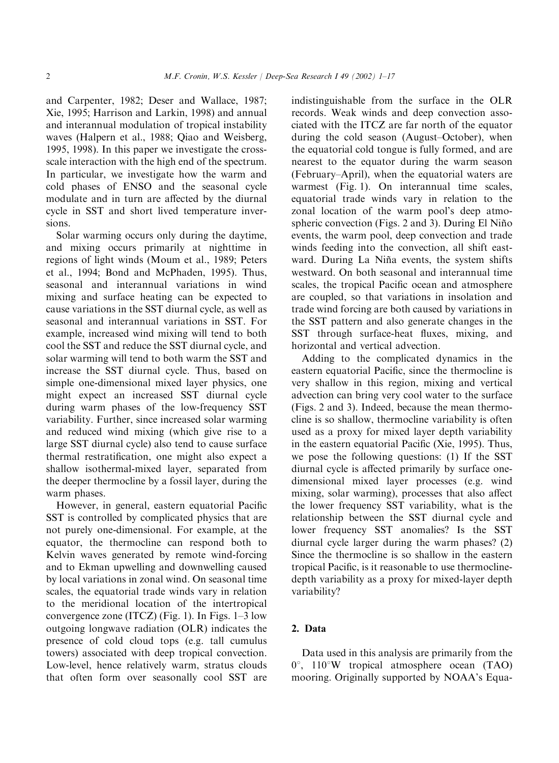and Carpenter, 1982; Deser and Wallace, 1987; Xie, 1995; Harrison and Larkin, 1998) and annual and interannual modulation of tropical instability waves (Halpern et al., 1988; Qiao and Weisberg, 1995, 1998). In this paper we investigate the crossscale interaction with the high end of the spectrum. In particular, we investigate how the warm and cold phases of ENSO and the seasonal cycle modulate and in turn are affected by the diurnal cycle in SST and short lived temperature inversions.

Solar warming occurs only during the daytime, and mixing occurs primarilyat nighttime in regions of light winds (Moum et al., 1989; Peters et al., 1994; Bond and McPhaden, 1995). Thus, seasonal and interannual variations in wind mixing and surface heating can be expected to cause variations in the SST diurnal cycle, as well as seasonal and interannual variations in SST. For example, increased wind mixing will tend to both cool the SST and reduce the SST diurnal cycle, and solar warming will tend to both warm the SST and increase the SST diurnal cycle. Thus, based on simple one-dimensional mixed layer physics, one might expect an increased SST diurnal cycle during warm phases of the low-frequency SST variability. Further, since increased solar warming and reduced wind mixing (which give rise to a large SST diurnal cycle) also tend to cause surface thermal restratification, one might also expect a shallow isothermal-mixed layer, separated from the deeper thermocline bya fossil layer, during the warm phases.

However, in general, eastern equatorial Pacific SST is controlled by complicated physics that are not purely one-dimensional. For example, at the equator, the thermocline can respond both to Kelvin waves generated by remote wind-forcing and to Ekman upwelling and downwelling caused bylocal variations in zonal wind. On seasonal time scales, the equatorial trade winds vary in relation to the meridional location of the intertropical convergence zone (ITCZ) (Fig. 1). In Figs. 1–3 low outgoing longwave radiation (OLR) indicates the presence of cold cloud tops (e.g. tall cumulus towers) associated with deep tropical convection. Low-level, hence relatively warm, stratus clouds that often form over seasonally cool SST are

indistinguishable from the surface in the OLR records. Weak winds and deep convection associated with the ITCZ are far north of the equator during the cold season (August–October), when the equatorial cold tongue is fully formed, and are nearest to the equator during the warm season (February–April), when the equatorial waters are warmest (Fig. 1). On interannual time scales, equatorial trade winds vary in relation to the zonal location of the warm pool's deep atmospheric convection (Figs. 2 and 3). During El Nino\* events, the warm pool, deep convection and trade winds feeding into the convection, all shift eastward. During La Niña events, the system shifts westward. On both seasonal and interannual time scales, the tropical Pacific ocean and atmosphere are coupled, so that variations in insolation and trade wind forcing are both caused by variations in the SST pattern and also generate changes in the SST through surface-heat fluxes, mixing, and horizontal and vertical advection.

Adding to the complicated dynamics in the eastern equatorial Pacific, since the thermocline is veryshallow in this region, mixing and vertical advection can bring very cool water to the surface (Figs. 2 and 3). Indeed, because the mean thermocline is so shallow, thermocline variability is often used as a proxy for mixed layer depth variability in the eastern equatorial Pacific (Xie, 1995). Thus, we pose the following questions: (1) If the SST diurnal cycle is affected primarily by surface onedimensional mixed layer processes (e.g. wind mixing, solar warming), processes that also affect the lower frequency SST variability, what is the relationship between the SST diurnal cycle and lower frequency SST anomalies? Is the SST diurnal cycle larger during the warm phases? (2) Since the thermocline is so shallow in the eastern tropical Pacific, is it reasonable to use thermoclinedepth variability as a proxy for mixed-layer depth variability?

# 2. Data

Data used in this analysis are primarily from the  $0^{\circ}$ . 110<sup> $\circ$ </sup>W tropical atmosphere ocean (TAO) mooring. Originally supported by NOAA's Equa-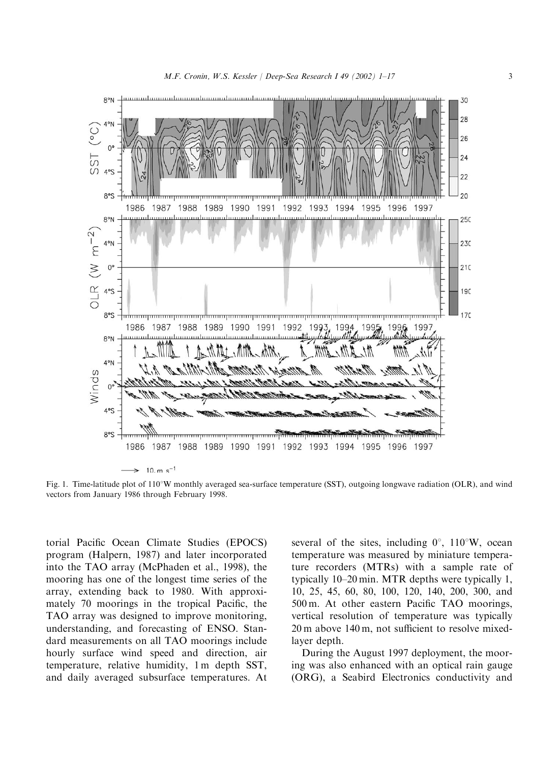

Fig. 1. Time-latitude plot of 110°W monthly averaged sea-surface temperature (SST), outgoing longwave radiation (OLR), and wind vectors from January 1986 through February 1998.

torial Pacific Ocean Climate Studies (EPOCS) program (Halpern, 1987) and later incorporated into the TAO array(McPhaden et al., 1998), the mooring has one of the longest time series of the array, extending back to 1980. With approximately 70 moorings in the tropical Pacific, the TAO array was designed to improve monitoring, understanding, and forecasting of ENSO. Standard measurements on all TAO moorings include hourly surface wind speed and direction, air temperature, relative humidity, 1 m depth SST, and daily averaged subsurface temperatures. At several of the sites, including  $0^{\circ}$ , 110°W, ocean temperature was measured by miniature temperature recorders (MTRs) with a sample rate of typically 10–20 min. MTR depths were typically 1, 10, 25, 45, 60, 80, 100, 120, 140, 200, 300, and 500 m. At other eastern Pacific TAO moorings, vertical resolution of temperature was typically 20 m above 140 m, not sufficient to resolve mixedlayer depth.

During the August 1997 deployment, the mooring was also enhanced with an optical rain gauge (ORG), a Seabird Electronics conductivity and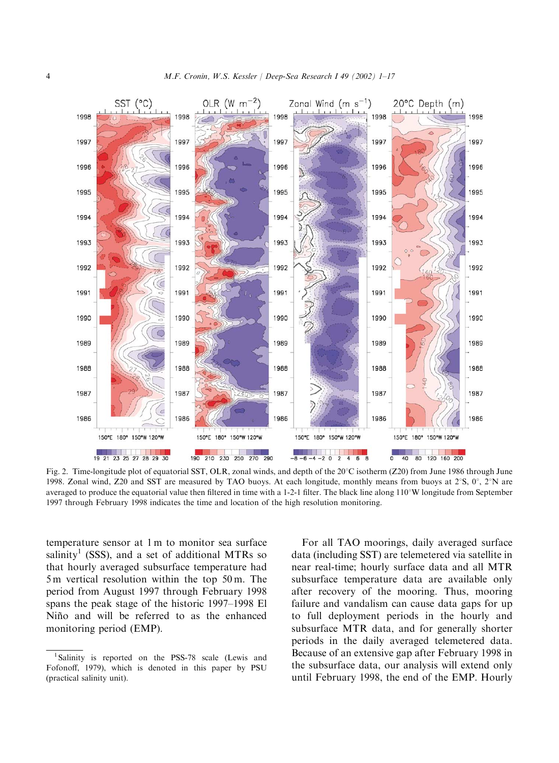

Fig. 2. Time-longitude plot of equatorial SST, OLR, zonal winds, and depth of the 20°C isotherm (Z20) from June 1986 through June 1998. Zonal wind, Z20 and SST are measured by TAO buoys. At each longitude, monthly means from buoys at  $2^\circ$ S, 0°,  $2^\circ$ N are averaged to produce the equatorial value then filtered in time with a 1-2-1 filter. The black line along  $110^{\circ}$ W longitude from September 1997 through February1998 indicates the time and location of the high resolution monitoring.

temperature sensor at 1 m to monitor sea surface salinity<sup>1</sup> (SSS), and a set of additional MTRs so that hourly averaged subsurface temperature had 5 m vertical resolution within the top 50 m. The period from August 1997 through February 1998 spans the peak stage of the historic 1997–1998 El Niño and will be referred to as the enhanced monitoring period (EMP).

For all TAO moorings, daily averaged surface data (including SST) are telemetered via satellite in near real-time; hourly surface data and all MTR subsurface temperature data are available only after recovery of the mooring. Thus, mooring failure and vandalism can cause data gaps for up to full deployment periods in the hourly and subsurface MTR data, and for generally shorter periods in the daily averaged telemetered data. Because of an extensive gap after February 1998 in the subsurface data, our analysis will extend only until February 1998, the end of the EMP. Hourly

<sup>&</sup>lt;sup>1</sup>Salinity is reported on the PSS-78 scale (Lewis and Fofonoff, 1979), which is denoted in this paper by PSU (practical salinity unit).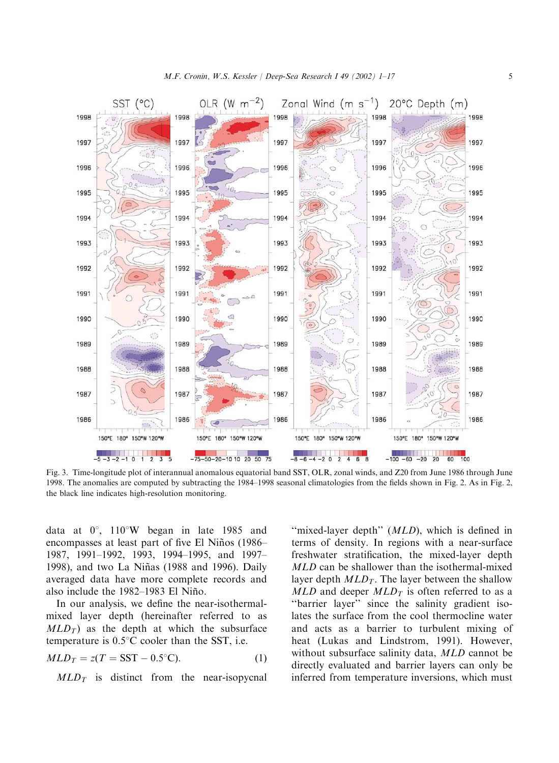

Fig. 3. Time-longitude plot of interannual anomalous equatorial band SST, OLR, zonal winds, and Z20 from June 1986 through June 1998. The anomalies are computed bysubtracting the 1984–1998 seasonal climatologies from the fields shown in Fig. 2. As in Fig. 2, the black line indicates high-resolution monitoring.

data at  $0^{\circ}$ , 110°W began in late 1985 and encompasses at least part of five El Niños (1986– 1987, 1991–1992, 1993, 1994–1995, and 1997– 1998), and two La Ninas (1988 and 1996). Daily \* averaged data have more complete records and also include the 1982–1983 El Nino. \*

In our analysis, we define the near-isothermalmixed layer depth (hereinafter referred to as  $MLD_T$ ) as the depth at which the subsurface temperature is  $0.5^{\circ}$ C cooler than the SST, i.e.

$$
MLD_T = z(T = SST - 0.5^{\circ}C). \tag{1}
$$

 $MLD<sub>T</sub>$  is distinct from the near-isopycnal

"mixed-layer depth" (MLD), which is defined in terms of density. In regions with a near-surface freshwater stratification, the mixed-layer depth MLD can be shallower than the isothermal-mixed layer depth  $MLD_T$ . The layer between the shallow  $MLD$  and deeper  $MLD<sub>T</sub>$  is often referred to as a ''barrier layer'' since the salinity gradient isolates the surface from the cool thermocline water and acts as a barrier to turbulent mixing of heat (Lukas and Lindstrom, 1991). However, without subsurface salinity data, MLD cannot be directly evaluated and barrier layers can only be inferred from temperature inversions, which must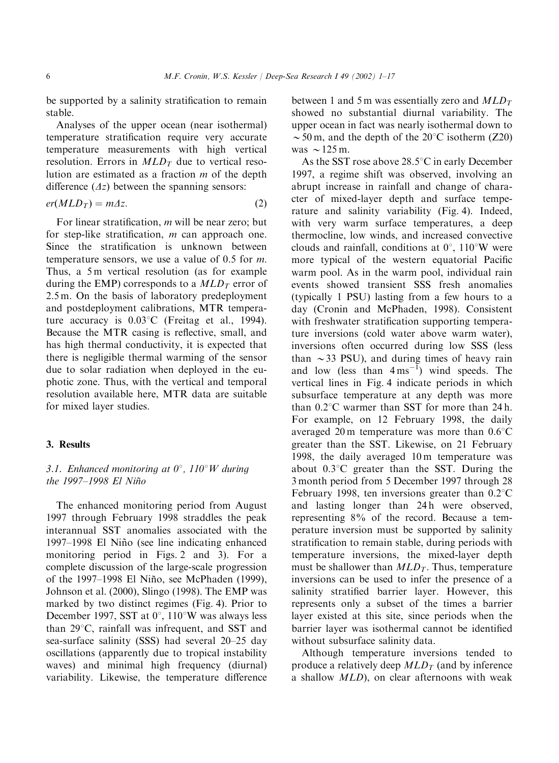be supported by a salinity stratification to remain stable.

Analyses of the upper ocean (near isothermal) temperature stratification require very accurate temperature measurements with high vertical resolution. Errors in  $MLD<sub>T</sub>$  due to vertical resolution are estimated as a fraction  $m$  of the depth difference  $(\Delta z)$  between the spanning sensors:

$$
er(MLD_T) = m\Delta z. \tag{2}
$$

For linear stratification, m will be near zero; but for step-like stratification,  $m$  can approach one. Since the stratification is unknown between temperature sensors, we use a value of 0.5 for  $m$ . Thus, a 5m vertical resolution (as for example during the EMP) corresponds to a  $MLD<sub>T</sub>$  error of  $2.5$  m. On the basis of laboratory predeployment and postdeployment calibrations, MTR temperature accuracy is  $0.03^{\circ}$ C (Freitag et al., 1994). Because the MTR casing is reflective, small, and has high thermal conductivity, it is expected that there is negligible thermal warming of the sensor due to solar radiation when deployed in the euphotic zone. Thus, with the vertical and temporal resolution available here, MTR data are suitable for mixed layer studies.

## 3. Results

# 3.1. Enhanced monitoring at  $0^{\circ}$ , 110°W during the 1997–1998 El Niño

The enhanced monitoring period from August 1997 through February1998 straddles the peak interannual SST anomalies associated with the 1997–1998 El Nino (see line indicating enhanced \* monitoring period in Figs. 2 and 3). For a complete discussion of the large-scale progression of the 1997–1998 El Nino, see McPhaden (1999), \* Johnson et al. (2000), Slingo (1998). The EMP was marked by two distinct regimes (Fig. 4). Prior to December 1997, SST at  $0^{\circ}$ , 110°W was always less than  $29^{\circ}$ C, rainfall was infrequent, and SST and sea-surface salinity(SSS) had several 20–25 day oscillations (apparently due to tropical instability waves) and minimal high frequency (diurnal) variability. Likewise, the temperature difference

between 1 and 5 m was essentially zero and  $MLD_T$ showed no substantial diurnal variability. The upper ocean in fact was nearly isothermal down to  $\sim$  50 m, and the depth of the 20<sup>o</sup>C isotherm (Z20) was  $\sim$  125 m.

As the SST rose above  $28.5^{\circ}$ C in early December 1997, a regime shift was observed, involving an abrupt increase in rainfall and change of character of mixed-layer depth and surface temperature and salinity variability (Fig. 4). Indeed, with very warm surface temperatures, a deep thermocline, low winds, and increased convective clouds and rainfall, conditions at  $0^{\circ}$ , 110<sup> $\circ$ </sup>W were more typical of the western equatorial Pacific warm pool. As in the warm pool, individual rain events showed transient SSS fresh anomalies (typically 1 PSU) lasting from a few hours to a day(Cronin and McPhaden, 1998). Consistent with freshwater stratification supporting temperature inversions (cold water above warm water), inversions often occurred during low SSS (less than  $\sim$  33 PSU), and during times of heavy rain and low (less than  $4 \text{ ms}^{-1}$ ) wind speeds. The vertical lines in Fig. 4 indicate periods in which subsurface temperature at any depth was more than  $0.2^{\circ}$ C warmer than SST for more than 24 h. For example, on 12 February 1998, the daily averaged 20 m temperature was more than  $0.6^{\circ}$ C greater than the SST. Likewise, on 21 February 1998, the daily averaged 10 m temperature was about  $0.3^{\circ}$ C greater than the SST. During the 3 month period from 5 December 1997 through 28 February 1998, ten inversions greater than  $0.2^{\circ}$ C and lasting longer than 24h were observed, representing 8% of the record. Because a temperature inversion must be supported by salinity stratification to remain stable, during periods with temperature inversions, the mixed-layer depth must be shallower than  $MLD_T$ . Thus, temperature inversions can be used to infer the presence of a salinity stratified barrier layer. However, this represents onlya subset of the times a barrier layer existed at this site, since periods when the barrier layer was isothermal cannot be identified without subsurface salinity data.

Although temperature inversions tended to produce a relatively deep  $MLD<sub>T</sub>$  (and by inference a shallow MLD), on clear afternoons with weak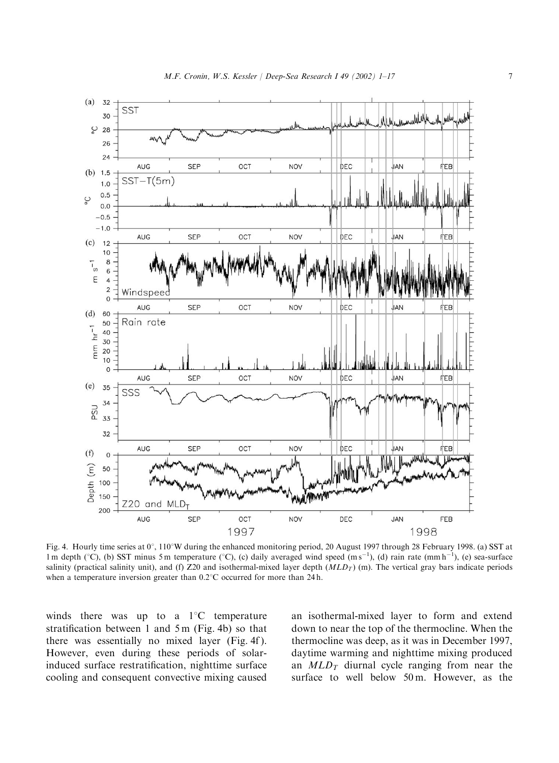

Fig. 4. Hourly time series at  $0^{\circ}$ , 110°W during the enhanced monitoring period, 20 August 1997 through 28 February 1998. (a) SST at 1 m depth (°C), (b) SST minus 5 m temperature (°C), (c) daily averaged wind speed  $(m s^{-1})$ , (d) rain rate  $(m m h^{-1})$ , (e) sea-surface salinity (practical salinity unit), and (f) Z20 and isothermal-mixed layer depth  $(MLD_T)$  (m). The vertical gray bars indicate periods when a temperature inversion greater than  $0.2^{\circ}$ C occurred for more than 24 h.

winds there was up to a  $1^{\circ}$ C temperature stratification between 1 and 5 m (Fig. 4b) so that there was essentially no mixed layer (Fig. 4f). However, even during these periods of solarinduced surface restratification, nighttime surface cooling and consequent convective mixing caused

an isothermal-mixed layer to form and extend down to near the top of the thermocline. When the thermocline was deep, as it was in December 1997, daytime warming and nighttime mixing produced an  $MLD_T$  diurnal cycle ranging from near the surface to well below 50 m. However, as the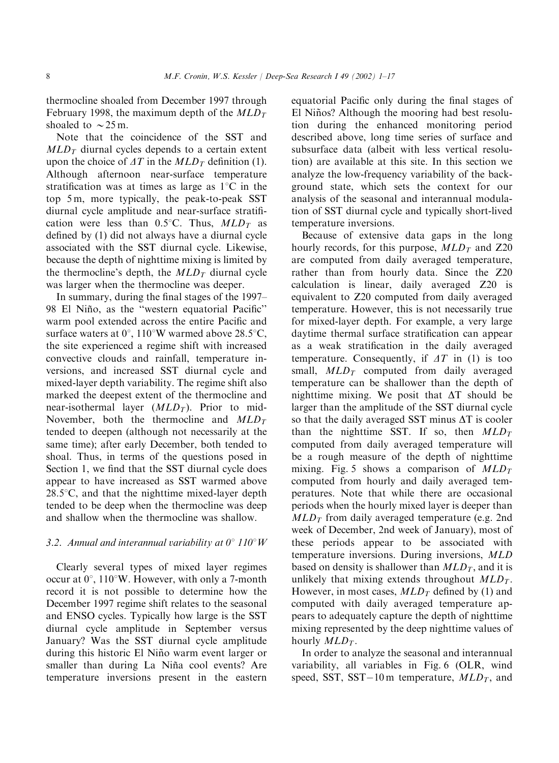thermocline shoaled from December 1997 through February 1998, the maximum depth of the  $MLD_T$ shoaled to  $\sim$  25 m.

Note that the coincidence of the SST and  $MLD<sub>T</sub>$  diurnal cycles depends to a certain extent upon the choice of  $\Delta T$  in the  $MLD_T$  definition (1). Although afternoon near-surface temperature stratification was at times as large as  $1^{\circ}$ C in the top 5 m, more typically, the peak-to-peak SST diurnal cycle amplitude and near-surface stratification were less than 0.5°C. Thus,  $MLD_T$  as defined by (1) did not always have a diurnal cycle associated with the SST diurnal cycle. Likewise, because the depth of nighttime mixing is limited by the thermocline's depth, the  $MLD_T$  diurnal cycle was larger when the thermocline was deeper.

In summary, during the final stages of the 1997– 98 El Nino, as the ''western equatorial Pacific'' \* warm pool extended across the entire Pacific and surface waters at  $0^{\circ}$ , 110°W warmed above 28.5°C, the site experienced a regime shift with increased convective clouds and rainfall, temperature inversions, and increased SST diurnal cycle and mixed-layer depth variability. The regime shift also marked the deepest extent of the thermocline and near-isothermal layer  $(MLD_T)$ . Prior to mid-November, both the thermocline and  $MLD_T$ tended to deepen (although not necessarilyat the same time); after early December, both tended to shoal. Thus, in terms of the questions posed in Section 1, we find that the SST diurnal cycle does appear to have increased as SST warmed above  $28.5^{\circ}$ C, and that the nighttime mixed-layer depth tended to be deep when the thermocline was deep and shallow when the thermocline was shallow.

#### 3.2. Annual and interannual variability at  $0^{\circ}$  110°W

Clearly several types of mixed layer regimes occur at  $0^{\circ}$ , 110°W. However, with only a 7-month record it is not possible to determine how the December 1997 regime shift relates to the seasonal and ENSO cycles. Typically how large is the SST diurnal cycle amplitude in September versus January? Was the SST diurnal cycle amplitude during this historic El Nino warm event larger or \* smaller than during La Niña cool events? Are temperature inversions present in the eastern

equatorial Pacific only during the final stages of El Niños? Although the mooring had best resolution during the enhanced monitoring period described above, long time series of surface and subsurface data (albeit with less vertical resolution) are available at this site. In this section we analyze the low-frequency variability of the background state, which sets the context for our analysis of the seasonal and interannual modulation of SST diurnal cycle and typically short-lived temperature inversions.

Because of extensive data gaps in the long hourly records, for this purpose,  $MLD_T$  and Z20 are computed from daily averaged temperature, rather than from hourly data. Since the Z20 calculation is linear, daily averaged Z20 is equivalent to Z20 computed from dailyaveraged temperature. However, this is not necessarily true for mixed-layer depth. For example, a very large daytime thermal surface stratification can appear as a weak stratification in the daily averaged temperature. Consequently, if  $\Delta T$  in (1) is too small,  $MLD_T$  computed from daily averaged temperature can be shallower than the depth of nighttime mixing. We posit that  $\Delta T$  should be larger than the amplitude of the SST diurnal cycle so that the daily averaged SST minus  $\Delta T$  is cooler than the nighttime SST. If so, then  $MLD_T$ computed from daily averaged temperature will be a rough measure of the depth of nighttime mixing. Fig. 5 shows a comparison of  $MLD_T$ computed from hourly and daily averaged temperatures. Note that while there are occasional periods when the hourlymixed layer is deeper than  $MLD<sub>T</sub>$  from daily averaged temperature (e.g. 2nd week of December, 2nd week of January), most of these periods appear to be associated with temperature inversions. During inversions, MLD based on density is shallower than  $MLD_T$ , and it is unlikely that mixing extends throughout  $MLD_T$ . However, in most cases,  $MLD_T$  defined by (1) and computed with daily averaged temperature appears to adequatelycapture the depth of nighttime mixing represented by the deep nighttime values of hourly  $MLD_T$ .

In order to analyze the seasonal and interannual variability, all variables in Fig. 6 (OLR, wind speed, SST, SST-10 m temperature,  $MLD_T$ , and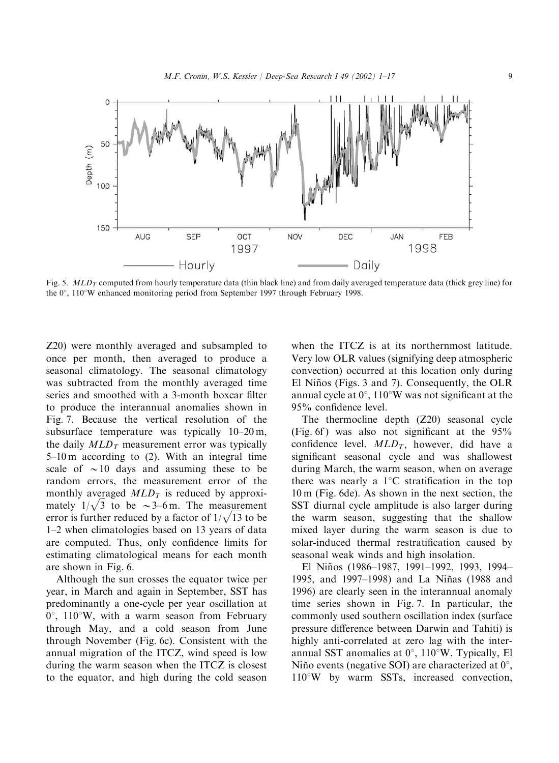

Fig. 5.  $MLD_T$  computed from hourly temperature data (thin black line) and from daily averaged temperature data (thick grey line) for the  $0^{\circ}$ , 110°W enhanced monitoring period from September 1997 through February 1998.

Z20) were monthly averaged and subsampled to once per month, then averaged to produce a seasonal climatology. The seasonal climatology was subtracted from the monthly averaged time series and smoothed with a 3-month boxcar filter to produce the interannual anomalies shown in Fig. 7. Because the vertical resolution of the subsurface temperature was typically 10–20 m, the daily  $MLD_T$  measurement error was typically 5–10 m according to (2). With an integral time scale of  $\sim$ 10 days and assuming these to be random errors, the measurement error of the monthly averaged  $MLD_T$  is reduced by approximonthly averaged  $MLD_T$  is reduced by approximately  $1/\sqrt{3}$  to be  $\sim$  3–6 m. The measurement error is further reduced by a factor of  $1/\sqrt{13}$  to be 1–2 when climatologies based on 13 years of data are computed. Thus, only confidence limits for estimating climatological means for each month are shown in Fig. 6.

Although the sun crosses the equator twice per year, in March and again in September, SST has predominantly a one-cycle per year oscillation at  $0^{\circ}$ , 110°W, with a warm season from February through May, and a cold season from June through November (Fig. 6c). Consistent with the annual migration of the ITCZ, wind speed is low during the warm season when the ITCZ is closest to the equator, and high during the cold season

when the ITCZ is at its northernmost latitude. Verylow OLR values (signifying deep atmospheric convection) occurred at this location onlyduring El Ninos (Figs. 3 and 7). Consequently, the OLR \* annual cycle at  $0^{\circ}$ , 110°W was not significant at the 95% confidence level.

The thermocline depth (Z20) seasonal cycle (Fig. 6f) was also not significant at the  $95\%$ confidence level.  $MLD_T$ , however, did have a significant seasonal cycle and was shallowest during March, the warm season, when on average there was nearly a  $1^{\circ}$ C stratification in the top 10 m (Fig. 6de). As shown in the next section, the SST diurnal cycle amplitude is also larger during the warm season, suggesting that the shallow mixed layer during the warm season is due to solar-induced thermal restratification caused by seasonal weak winds and high insolation.

El Ninos (1986–1987, 1991–1992, 1993, 1994– \* 1995, and 1997–1998) and La Ninas (1988 and \* 1996) are clearly seen in the interannual anomaly time series shown in Fig. 7. In particular, the commonlyused southern oscillation index (surface pressure difference between Darwin and Tahiti) is highly anti-correlated at zero lag with the interannual SST anomalies at  $0^{\circ}$ , 110<sup> $\circ$ </sup>W. Typically, El Niño events (negative SOI) are characterized at  $0^{\circ}$ ,  $110^{\circ}$ W by warm SSTs, increased convection,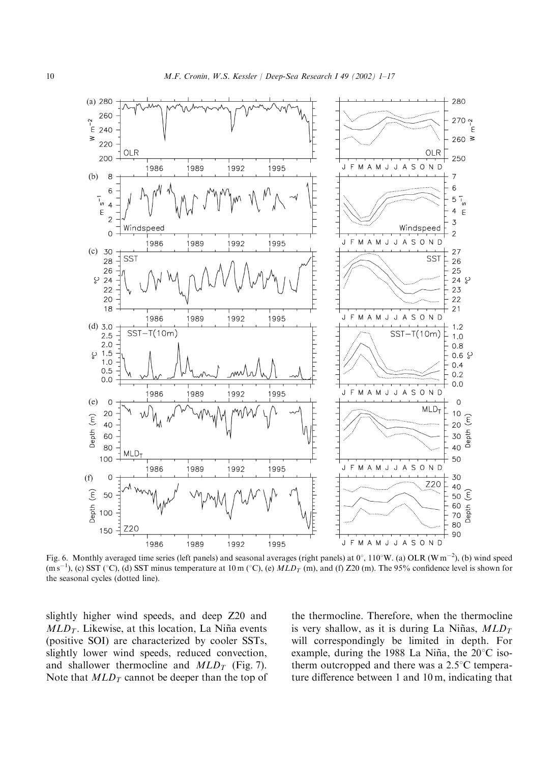

Fig. 6. Monthly averaged time series (left panels) and seasonal averages (right panels) at  $0^\circ$ , 110°W. (a) OLR (W m<sup>-2</sup>), (b) wind speed  $(m s^{-1})$ , (c) SST (°C), (d) SST minus temperature at 10 m (°C), (e)  $MLD_T$  (m), and (f) Z20 (m). The 95% confidence level is shown for the seasonal cycles (dotted line).

slightly higher wind speeds, and deep Z20 and  $MLD<sub>T</sub>$ . Likewise, at this location, La Niña events (positive SOI) are characterized by cooler SSTs, slightly lower wind speeds, reduced convection, and shallower thermocline and  $MLD_T$  (Fig. 7). Note that  $MLD_T$  cannot be deeper than the top of

the thermocline. Therefore, when the thermocline is very shallow, as it is during La Niñas,  $MLD_T$ will correspondingly be limited in depth. For example, during the 1988 La Niña, the  $20^{\circ}$ C isotherm outcropped and there was a  $2.5^{\circ}$ C temperature difference between 1 and 10 m, indicating that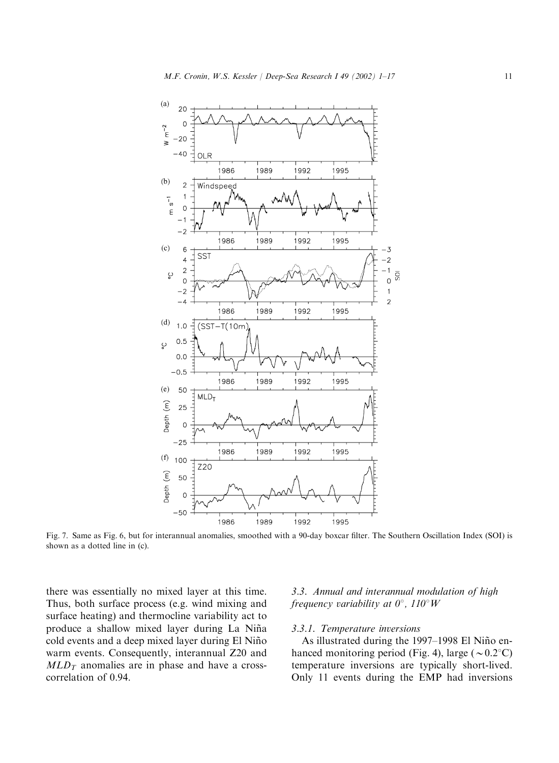

Fig. 7. Same as Fig. 6, but for interannual anomalies, smoothed with a 90-dayboxcar filter. The Southern Oscillation Index (SOI) is shown as a dotted line in (c).

there was essentially no mixed layer at this time. Thus, both surface process (e.g. wind mixing and surface heating) and thermocline variability act to produce a shallow mixed layer during La Nina\* cold events and a deep mixed layer during El Nino\* warm events. Consequently, interannual Z20 and  $MLD<sub>T</sub>$  anomalies are in phase and have a crosscorrelation of 0.94.

## 3.3. Annual and interannual modulation of high frequency variability at  $0^{\circ}$ , 110°W

## 3.3.1. Temperature inversions

As illustrated during the 1997-1998 El Niño enhanced monitoring period (Fig. 4), large ( $\sim 0.2^{\circ}$ C) temperature inversions are typically short-lived. Only11 events during the EMP had inversions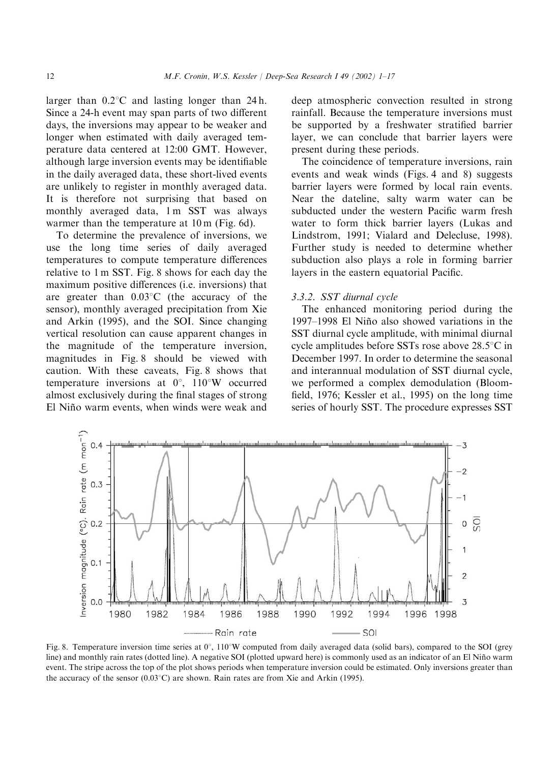larger than  $0.2^{\circ}$ C and lasting longer than 24 h. Since a 24-h event mayspan parts of two different days, the inversions may appear to be weaker and longer when estimated with daily averaged temperature data centered at 12:00 GMT. However, although large inversion events maybe identifiable in the daily averaged data, these short-lived events are unlikely to register in monthly averaged data. It is therefore not surprising that based on monthly averaged data, 1 m SST was always warmer than the temperature at 10 m (Fig. 6d).

To determine the prevalence of inversions, we use the long time series of daily averaged temperatures to compute temperature differences relative to  $1 \text{ m SST}$ . Fig. 8 shows for each day the maximum positive differences (i.e. inversions) that are greater than  $0.03^{\circ}$ C (the accuracy of the sensor), monthly averaged precipitation from Xie and Arkin (1995), and the SOI. Since changing vertical resolution can cause apparent changes in the magnitude of the temperature inversion, magnitudes in Fig. 8 should be viewed with caution. With these caveats, Fig. 8 shows that temperature inversions at  $0^{\circ}$ , 110<sup>°</sup>W occurred almost exclusively during the final stages of strong El Nino warm events, when winds were weak and \*

deep atmospheric convection resulted in strong rainfall. Because the temperature inversions must be supported by a freshwater stratified barrier layer, we can conclude that barrier layers were present during these periods.

The coincidence of temperature inversions, rain events and weak winds (Figs. 4 and 8) suggests barrier layers were formed by local rain events. Near the dateline, salty warm water can be subducted under the western Pacific warm fresh water to form thick barrier layers (Lukas and Lindstrom, 1991; Vialard and Delecluse, 1998). Further study is needed to determine whether subduction also plays a role in forming barrier layers in the eastern equatorial Pacific.

#### 3.3.2. SST diurnal cycle

The enhanced monitoring period during the 1997–1998 El Nino also showed variations in the \* SST diurnal cycle amplitude, with minimal diurnal cycle amplitudes before SSTs rose above  $28.5^{\circ}$ C in December 1997. In order to determine the seasonal and interannual modulation of SST diurnal cycle, we performed a complex demodulation (Bloomfield, 1976; Kessler et al., 1995) on the long time series of hourly SST. The procedure expresses SST



Fig. 8. Temperature inversion time series at  $0^{\circ}$ ,  $110^{\circ}$ W computed from daily averaged data (solid bars), compared to the SOI (grey line) and monthlyrain rates (dotted line). A negative SOI (plotted upward here) is commonlyused as an indicator of an El Nino warm \* event. The stripe across the top of the plot shows periods when temperature inversion could be estimated. Only inversions greater than the accuracy of the sensor  $(0.03^{\circ}C)$  are shown. Rain rates are from Xie and Arkin (1995).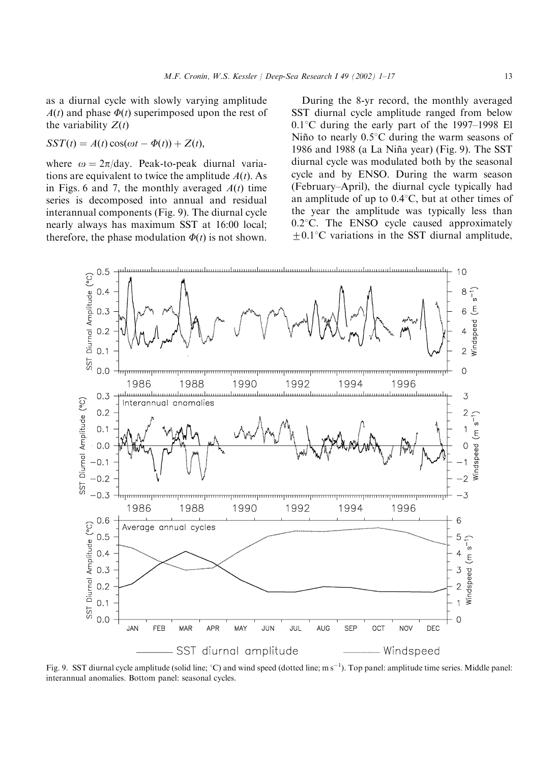as a diurnal cycle with slowly varying amplitude  $A(t)$  and phase  $\Phi(t)$  superimposed upon the rest of the variability  $Z(t)$ 

$$
SST(t) = A(t)\cos(\omega t - \Phi(t)) + Z(t),
$$

where  $\omega = 2\pi/day$ . Peak-to-peak diurnal variations are equivalent to twice the amplitude  $A(t)$ . As in Figs. 6 and 7, the monthly averaged  $A(t)$  time series is decomposed into annual and residual interannual components (Fig. 9). The diurnal cycle nearly always has maximum SST at 16:00 local; therefore, the phase modulation  $\Phi(t)$  is not shown.

During the 8-yr record, the monthly averaged SST diurnal cycle amplitude ranged from below  $0.1^{\circ}$ C during the early part of the 1997–1998 El Niño to nearly  $0.5^{\circ}$ C during the warm seasons of 1986 and 1988 (a La Nina year) (Fig. 9). The SST \* diurnal cycle was modulated both by the seasonal cycle and by ENSO. During the warm season (February–April), the diurnal cycle typically had an amplitude of up to  $0.4^{\circ}$ C, but at other times of the year the amplitude was typically less than  $0.2^{\circ}$ C. The ENSO cycle caused approximately  $\pm$  0.1<sup>o</sup>C variations in the SST diurnal amplitude,



Fig. 9. SST diurnal cycle amplitude (solid line; °C) and wind speed (dotted line; m s<sup>-1</sup>). Top panel: amplitude time series. Middle panel: interannual anomalies. Bottom panel: seasonal cycles.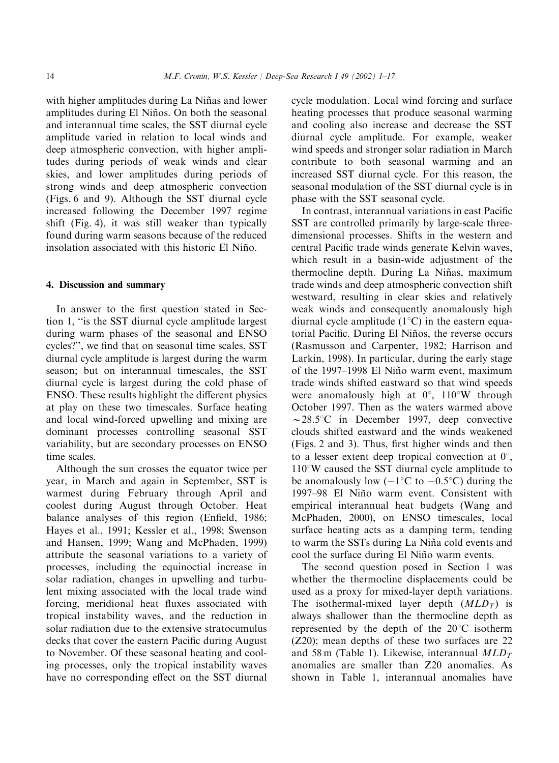with higher amplitudes during La Niñas and lower amplitudes during El Ninos. On both the seasonal \* and interannual time scales, the SST diurnal cycle amplitude varied in relation to local winds and deep atmospheric convection, with higher amplitudes during periods of weak winds and clear skies, and lower amplitudes during periods of strong winds and deep atmospheric convection (Figs. 6 and 9). Although the SST diurnal cycle increased following the December 1997 regime shift (Fig. 4), it was still weaker than typically found during warm seasons because of the reduced insolation associated with this historic El Nino. \*

#### 4. Discussion and summary

In answer to the first question stated in Section 1, ''is the SST diurnal cycle amplitude largest during warm phases of the seasonal and ENSO cycles?'', we find that on seasonal time scales, SST diurnal cycle amplitude is largest during the warm season; but on interannual timescales, the SST diurnal cycle is largest during the cold phase of ENSO. These results highlight the different physics at play on these two timescales. Surface heating and local wind-forced upwelling and mixing are dominant processes controlling seasonal SST variability, but are secondary processes on ENSO time scales.

Although the sun crosses the equator twice per year, in March and again in September, SST is warmest during February through April and coolest during August through October. Heat balance analyses of this region (Enfield, 1986; Hayes et al., 1991; Kessler et al., 1998; Swenson and Hansen, 1999; Wang and McPhaden, 1999) attribute the seasonal variations to a variety of processes, including the equinoctial increase in solar radiation, changes in upwelling and turbulent mixing associated with the local trade wind forcing, meridional heat fluxes associated with tropical instability waves, and the reduction in solar radiation due to the extensive stratocumulus decks that cover the eastern Pacific during August to November. Of these seasonal heating and cooling processes, only the tropical instability waves have no corresponding effect on the SST diurnal

cycle modulation. Local wind forcing and surface heating processes that produce seasonal warming and cooling also increase and decrease the SST diurnal cycle amplitude. For example, weaker wind speeds and stronger solar radiation in March contribute to both seasonal warming and an increased SST diurnal cycle. For this reason, the seasonal modulation of the SST diurnal cycle is in phase with the SST seasonal cycle.

In contrast, interannual variations in east Pacific SST are controlled primarily by large-scale threedimensional processes. Shifts in the western and central Pacific trade winds generate Kelvin waves, which result in a basin-wide adjustment of the thermocline depth. During La Niñas, maximum trade winds and deep atmospheric convection shift westward, resulting in clear skies and relatively weak winds and consequently anomalously high diurnal cycle amplitude  $(1^{\circ}C)$  in the eastern equatorial Pacific. During El Niños, the reverse occurs (Rasmusson and Carpenter, 1982; Harrison and Larkin, 1998). In particular, during the early stage of the 1997–1998 El Nino warm event, maximum \* trade winds shifted eastward so that wind speeds were anomalously high at  $0^{\circ}$ , 110°W through October 1997. Then as the waters warmed above  $\sim$ 28.5<sup>o</sup>C in December 1997, deep convective clouds shifted eastward and the winds weakened (Figs. 2 and 3). Thus, first higher winds and then to a lesser extent deep tropical convection at  $0^{\circ}$ ,  $110^{\circ}$ W caused the SST diurnal cycle amplitude to be anomalously low  $(-1^{\circ}C$  to  $-0.5^{\circ}C$ ) during the 1997–98 El Nino warm event. Consistent with \* empirical interannual heat budgets (Wang and McPhaden, 2000), on ENSO timescales, local surface heating acts as a damping term, tending to warm the SSTs during La Nina cold events and \* cool the surface during El Nino warm events. \*

The second question posed in Section 1 was whether the thermocline displacements could be used as a proxy for mixed-layer depth variations. The isothermal-mixed layer depth  $(MLD_T)$  is always shallower than the thermocline depth as represented by the depth of the  $20^{\circ}$ C isotherm (Z20); mean depths of these two surfaces are 22 and 58 m (Table 1). Likewise, interannual  $MLD_T$ anomalies are smaller than Z20 anomalies. As shown in Table 1, interannual anomalies have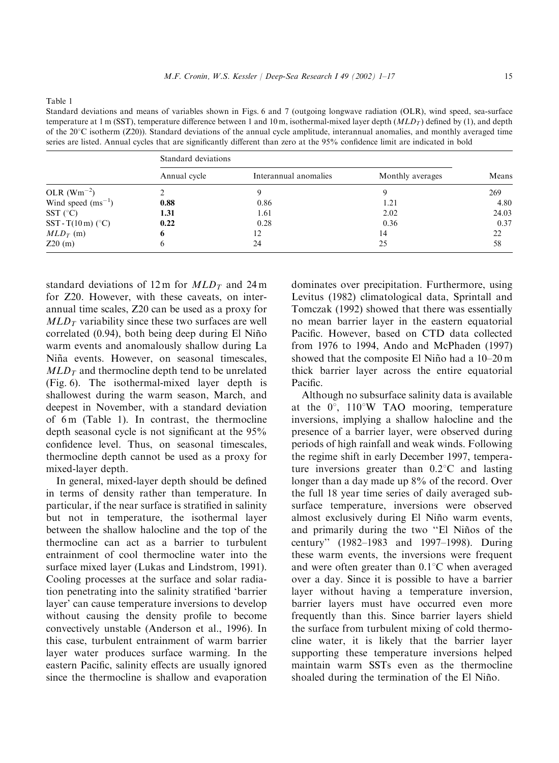Table 1

Standard deviations and means of variables shown in Figs. 6 and 7 (outgoing longwave radiation (OLR), wind speed, sea-surface temperature at 1 m (SST), temperature difference between 1 and 10 m, isothermal-mixed layer depth  $(MLD_T)$  defined by (1), and depth of the  $20^{\circ}$ C isotherm (Z20)). Standard deviations of the annual cycle amplitude, interannual anomalies, and monthly averaged time series are listed. Annual cycles that are significantly different than zero at the 95% confidence limit are indicated in bold

|                             | Standard deviations |                       |                  |       |
|-----------------------------|---------------------|-----------------------|------------------|-------|
|                             | Annual cycle        | Interannual anomalies | Monthly averages | Means |
| OLR $(Wm^{-2})$             |                     |                       |                  | 269   |
| Wind speed $(ms^{-1})$      | 0.88                | 0.86                  | 1.21             | 4.80  |
| SST $(^{\circ}C)$           | 1.31                | 1.61                  | 2.02             | 24.03 |
| SST-T $(10 \text{ m})$ (°C) | 0.22                | 0.28                  | 0.36             | 0.37  |
| $MLD_T$ (m)                 | 6                   | 12                    | 14               | 22    |
| $Z20$ (m)                   | 6                   | 24                    | 25               | 58    |

standard deviations of 12 m for  $MLD<sub>T</sub>$  and 24 m for Z20. However, with these caveats, on interannual time scales, Z20 can be used as a proxyfor  $MLD<sub>T</sub>$  variability since these two surfaces are well correlated (0.94), both being deep during El Nino\* warm events and anomalously shallow during La Niña events. However, on seasonal timescales,  $MLD_T$  and thermocline depth tend to be unrelated (Fig. 6). The isothermal-mixed layer depth is shallowest during the warm season, March, and deepest in November, with a standard deviation of 6 m (Table 1). In contrast, the thermocline depth seasonal cycle is not significant at the 95% confidence level. Thus, on seasonal timescales, thermocline depth cannot be used as a proxy for mixed-layer depth.

In general, mixed-layer depth should be defined in terms of density rather than temperature. In particular, if the near surface is stratified in salinity but not in temperature, the isothermal layer between the shallow halocline and the top of the thermocline can act as a barrier to turbulent entrainment of cool thermocline water into the surface mixed layer (Lukas and Lindstrom, 1991). Cooling processes at the surface and solar radiation penetrating into the salinity stratified 'barrier layer' can cause temperature inversions to develop without causing the density profile to become convectively unstable (Anderson et al., 1996). In this case, turbulent entrainment of warm barrier layer water produces surface warming. In the eastern Pacific, salinity effects are usually ignored since the thermocline is shallow and evaporation

dominates over precipitation. Furthermore, using Levitus (1982) climatological data, Sprintall and Tomczak (1992) showed that there was essentially no mean barrier layer in the eastern equatorial Pacific. However, based on CTD data collected from 1976 to 1994, Ando and McPhaden (1997) showed that the composite El Niño had a  $10-20$  m thick barrier layer across the entire equatorial Pacific.

Although no subsurface salinitydata is available at the  $0^{\circ}$ , 110°W TAO mooring, temperature inversions, implying a shallow halocline and the presence of a barrier layer, were observed during periods of high rainfall and weak winds. Following the regime shift in early December 1997, temperature inversions greater than  $0.2^{\circ}$ C and lasting longer than a day made up  $8\%$  of the record. Over the full 18 year time series of daily averaged subsurface temperature, inversions were observed almost exclusively during El Niño warm events, and primarily during the two "El Niños of the century'' (1982–1983 and 1997–1998). During these warm events, the inversions were frequent and were often greater than  $0.1^{\circ}$ C when averaged over a day. Since it is possible to have a barrier layer without having a temperature inversion, barrier layers must have occurred even more frequently than this. Since barrier layers shield the surface from turbulent mixing of cold thermocline water, it is likely that the barrier layer supporting these temperature inversions helped maintain warm SSTs even as the thermocline shoaled during the termination of the El Niño.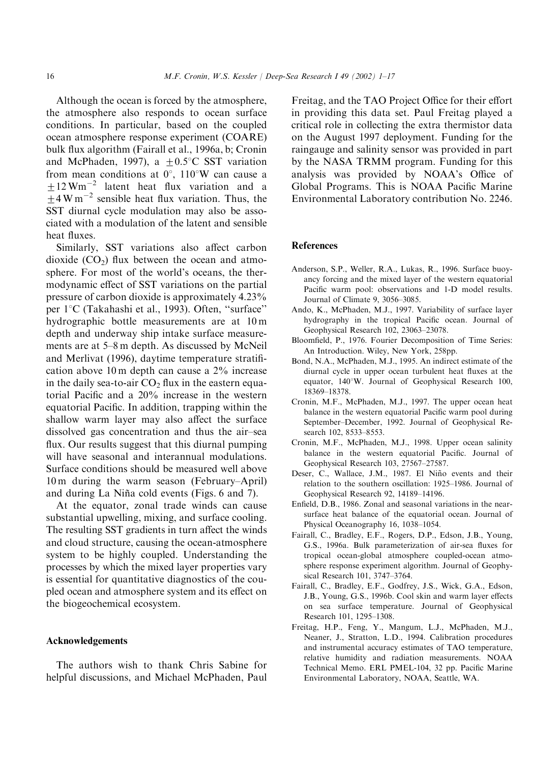Although the ocean is forced by the atmosphere, the atmosphere also responds to ocean surface conditions. In particular, based on the coupled ocean atmosphere response experiment (COARE) bulk flux algorithm (Fairall et al., 1996a, b; Cronin and McPhaden, 1997), a  $\pm 0.5^{\circ}$ C SST variation from mean conditions at  $0^{\circ}$ , 110°W can cause a  $+12$  Wm<sup>-2</sup> latent heat flux variation and a  $\pm$  4 W m<sup>-2</sup> sensible heat flux variation. Thus, the SST diurnal cycle modulation may also be associated with a modulation of the latent and sensible heat fluxes.

Similarly, SST variations also affect carbon dioxide  $(CO<sub>2</sub>)$  flux between the ocean and atmosphere. For most of the world's oceans, the thermodynamic effect of SST variations on the partial pressure of carbon dioxide is approximately 4.23% per 1<sup>o</sup>C (Takahashi et al., 1993). Often, "surface" hydrographic bottle measurements are at 10 m depth and underway ship intake surface measurements are at 5–8 m depth. As discussed by McNeil and Merlivat (1996), daytime temperature stratification above 10 m depth can cause a 2% increase in the daily sea-to-air  $CO<sub>2</sub>$  flux in the eastern equatorial Pacific and a 20% increase in the western equatorial Pacific. In addition, trapping within the shallow warm layer may also affect the surface dissolved gas concentration and thus the air–sea flux. Our results suggest that this diurnal pumping will have seasonal and interannual modulations. Surface conditions should be measured well above 10 m during the warm season (February–April) and during La Niña cold events (Figs. 6 and 7).

At the equator, zonal trade winds can cause substantial upwelling, mixing, and surface cooling. The resulting SST gradients in turn affect the winds and cloud structure, causing the ocean-atmosphere system to be highly coupled. Understanding the processes bywhich the mixed layer properties vary is essential for quantitative diagnostics of the coupled ocean and atmosphere system and its effect on the biogeochemical ecosystem.

## Acknowledgements

The authors wish to thank Chris Sabine for helpful discussions, and Michael McPhaden, Paul

Freitag, and the TAO Project Office for their effort in providing this data set. Paul Freitag played a critical role in collecting the extra thermistor data on the August 1997 deployment. Funding for the raingauge and salinity sensor was provided in part by the NASA TRMM program. Funding for this analysis was provided by NOAA's Office of Global Programs. This is NOAA Pacific Marine Environmental Laboratorycontribution No. 2246.

#### References

- Anderson, S.P., Weller, R.A., Lukas, R., 1996. Surface buoyancy forcing and the mixed layer of the western equatorial Pacific warm pool: observations and 1-D model results. Journal of Climate 9, 3056–3085.
- Ando, K., McPhaden, M.J., 1997. Variability of surface layer hydrography in the tropical Pacific ocean. Journal of Geophysical Research 102, 23063–23078.
- Bloomfield, P., 1976. Fourier Decomposition of Time Series: An Introduction. Wiley, New York, 258pp.
- Bond, N.A., McPhaden, M.J., 1995. An indirect estimate of the diurnal cycle in upper ocean turbulent heat fluxes at the equator,  $140^{\circ}$ W. Journal of Geophysical Research 100, 18369–18378.
- Cronin, M.F., McPhaden, M.J., 1997. The upper ocean heat balance in the western equatorial Pacific warm pool during September–December, 1992. Journal of Geophysical Research 102, 8533–8553.
- Cronin, M.F., McPhaden, M.J., 1998. Upper ocean salinity balance in the western equatorial Pacific. Journal of Geophysical Research 103, 27567–27587.
- Deser, C., Wallace, J.M., 1987. El Niño events and their relation to the southern oscillation: 1925–1986. Journal of Geophysical Research 92, 14189–14196.
- Enfield, D.B., 1986. Zonal and seasonal variations in the nearsurface heat balance of the equatorial ocean. Journal of Physical Oceanography 16, 1038–1054.
- Fairall, C., Bradley, E.F., Rogers, D.P., Edson, J.B., Young, G.S., 1996a. Bulk parameterization of air-sea fluxes for tropical ocean-global atmosphere coupled-ocean atmosphere response experiment algorithm. Journal of Geophysical Research 101, 3747–3764.
- Fairall, C., Bradley, E.F., Godfrey, J.S., Wick, G.A., Edson, J.B., Young, G.S., 1996b. Cool skin and warm layer effects on sea surface temperature. Journal of Geophysical Research 101, 1295–1308.
- Freitag, H.P., Feng, Y., Mangum, L.J., McPhaden, M.J., Neaner, J., Stratton, L.D., 1994. Calibration procedures and instrumental accuracy estimates of TAO temperature, relative humidity and radiation measurements. NOAA Technical Memo. ERL PMEL-104, 32 pp. Pacific Marine Environmental Laboratory, NOAA, Seattle, WA.